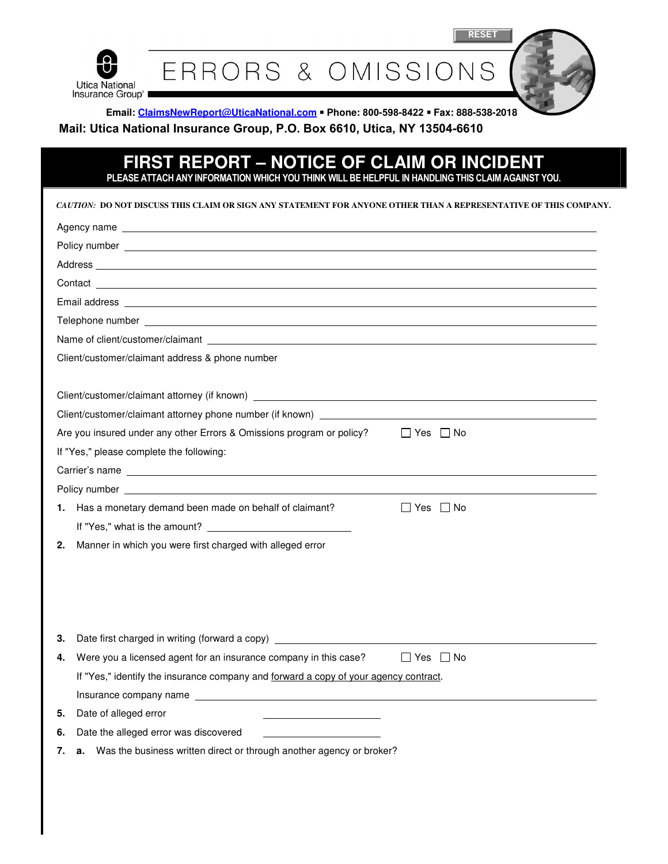

**RESET**

ERRORS & OMISSIONS

**Email: ClaimsNewReport@UticaNational.com Phone: 800-598-8422 Fax: 888-538-2018 Mail: Utica National Insurance Group, P.O. Box 6610, Utica, NY 13504-6610**

## **FIRST REPORT – NOTICE OF CLAIM OR INCIDENT**  PLEASE ATTACH ANY INFORMATION WHICH YOU THINK WILL BE HELPFUL IN HANDLING THIS CLAIM AGAINST YOU.

| CAUTION: DO NOT DISCUSS THIS CLAIM OR SIGN ANY STATEMENT FOR ANYONE OTHER THAN A REPRESENTATIVE OF THIS COMPANY                                                                                                                      |                                                                                                                |  |
|--------------------------------------------------------------------------------------------------------------------------------------------------------------------------------------------------------------------------------------|----------------------------------------------------------------------------------------------------------------|--|
|                                                                                                                                                                                                                                      | Agency name and the state of the state of the state of the state of the state of the state of the state of the |  |
|                                                                                                                                                                                                                                      |                                                                                                                |  |
| Address and the contract of the contract of the contract of the contract of the contract of the contract of the contract of the contract of the contract of the contract of the contract of the contract of the contract of th       |                                                                                                                |  |
|                                                                                                                                                                                                                                      |                                                                                                                |  |
|                                                                                                                                                                                                                                      |                                                                                                                |  |
| Telephone number <b>experience of the contract of the contract of the contract of the contract of the contract of the contract of the contract of the contract of the contract of the contract of the contract of the contract o</b> |                                                                                                                |  |
|                                                                                                                                                                                                                                      |                                                                                                                |  |
| Client/customer/claimant address & phone number                                                                                                                                                                                      |                                                                                                                |  |
|                                                                                                                                                                                                                                      |                                                                                                                |  |
|                                                                                                                                                                                                                                      |                                                                                                                |  |
| Client/customer/claimant attorney phone number (if known) _______________________                                                                                                                                                    |                                                                                                                |  |
| Are you insured under any other Errors & Omissions program or policy?<br>$\Box$ Yes $\Box$ No                                                                                                                                        |                                                                                                                |  |
| If "Yes," please complete the following:                                                                                                                                                                                             |                                                                                                                |  |
|                                                                                                                                                                                                                                      |                                                                                                                |  |
|                                                                                                                                                                                                                                      |                                                                                                                |  |
|                                                                                                                                                                                                                                      | 1. Has a monetary demand been made on behalf of claimant?<br>$\Box$ Yes $\Box$ No                              |  |
|                                                                                                                                                                                                                                      | If "Yes," what is the amount?                                                                                  |  |
| 2.                                                                                                                                                                                                                                   | Manner in which you were first charged with alleged error                                                      |  |
|                                                                                                                                                                                                                                      |                                                                                                                |  |
|                                                                                                                                                                                                                                      |                                                                                                                |  |
|                                                                                                                                                                                                                                      |                                                                                                                |  |
|                                                                                                                                                                                                                                      |                                                                                                                |  |
| 3.                                                                                                                                                                                                                                   | Date first charged in writing (forward a copy) _________________________________                               |  |
| 4.                                                                                                                                                                                                                                   | Were you a licensed agent for an insurance company in this case?<br>$\Box$ Yes $\Box$ No                       |  |
|                                                                                                                                                                                                                                      | If "Yes," identify the insurance company and forward a copy of your agency contract.                           |  |
|                                                                                                                                                                                                                                      |                                                                                                                |  |
| 5.                                                                                                                                                                                                                                   | Date of alleged error                                                                                          |  |
| 6.                                                                                                                                                                                                                                   | Date the alleged error was discovered                                                                          |  |
| 7.                                                                                                                                                                                                                                   | a. Was the business written direct or through another agency or broker?                                        |  |
|                                                                                                                                                                                                                                      |                                                                                                                |  |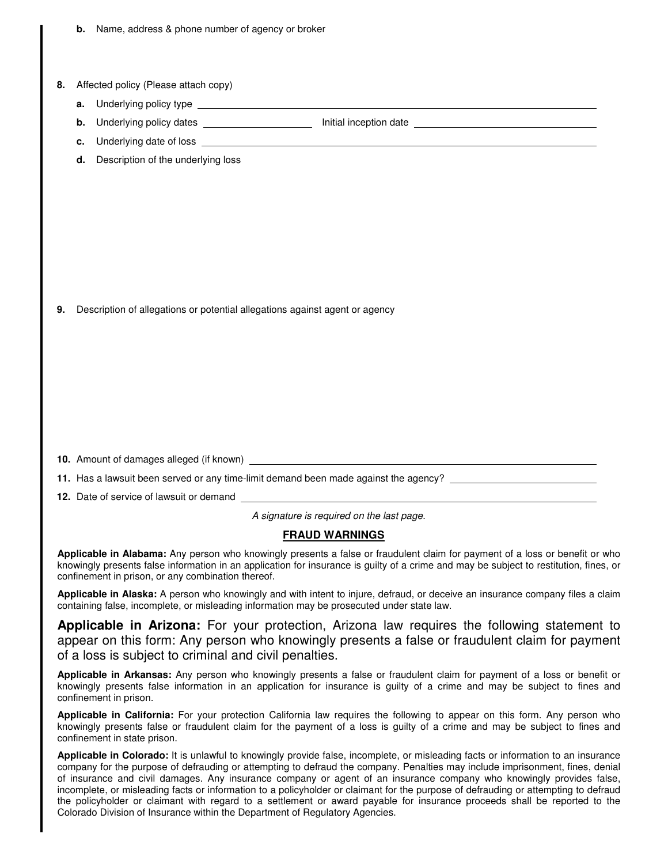|    | Name, address & phone number of agency or broker<br>b.                                                                                                                                                                                                                                                                       |
|----|------------------------------------------------------------------------------------------------------------------------------------------------------------------------------------------------------------------------------------------------------------------------------------------------------------------------------|
|    |                                                                                                                                                                                                                                                                                                                              |
| 8. | Affected policy (Please attach copy)                                                                                                                                                                                                                                                                                         |
|    | Underlying policy type example and the contract of the contract of the contract of the contract of the contract of the contract of the contract of the contract of the contract of the contract of the contract of the contrac<br>a.                                                                                         |
|    | Underlying policy dates ______________________<br>b.                                                                                                                                                                                                                                                                         |
|    | c.                                                                                                                                                                                                                                                                                                                           |
|    | Description of the underlying loss<br>d.                                                                                                                                                                                                                                                                                     |
|    |                                                                                                                                                                                                                                                                                                                              |
|    |                                                                                                                                                                                                                                                                                                                              |
|    |                                                                                                                                                                                                                                                                                                                              |
|    |                                                                                                                                                                                                                                                                                                                              |
|    |                                                                                                                                                                                                                                                                                                                              |
|    |                                                                                                                                                                                                                                                                                                                              |
|    |                                                                                                                                                                                                                                                                                                                              |
| 9. | Description of allegations or potential allegations against agent or agency                                                                                                                                                                                                                                                  |
|    |                                                                                                                                                                                                                                                                                                                              |
|    |                                                                                                                                                                                                                                                                                                                              |
|    |                                                                                                                                                                                                                                                                                                                              |
|    |                                                                                                                                                                                                                                                                                                                              |
|    |                                                                                                                                                                                                                                                                                                                              |
|    |                                                                                                                                                                                                                                                                                                                              |
|    |                                                                                                                                                                                                                                                                                                                              |
|    | 10. Amount of damages alleged (if known) _                                                                                                                                                                                                                                                                                   |
|    | 11. Has a lawsuit been served or any time-limit demand been made against the agency? _________________________                                                                                                                                                                                                               |
|    |                                                                                                                                                                                                                                                                                                                              |
|    | A signature is required on the last page.                                                                                                                                                                                                                                                                                    |
|    | <b>FRAUD WARNINGS</b>                                                                                                                                                                                                                                                                                                        |
|    | Applicable in Alabama: Any person who knowingly presents a false or fraudulent claim for payment of a loss or benefit or who<br>knowingly presents false information in an application for insurance is guilty of a crime and may be subject to restitution, fines, or<br>confinement in prison, or any combination thereof. |
|    | Applicable in Alaska: A person who knowingly and with intent to injure, defraud, or deceive an insurance company files a claim<br>containing false, incomplete, or misleading information may be prosecuted under state law.                                                                                                 |
|    | <b>Applicable in Arizona:</b> For your protection, Arizona law requires the following statement to<br>appear on this form: Any person who knowingly presents a false or fraudulent claim for payment<br>of a loss is subject to criminal and civil penalties.                                                                |

**Applicable in Arkansas:** Any person who knowingly presents a false or fraudulent claim for payment of a loss or benefit or knowingly presents false information in an application for insurance is guilty of a crime and may be subject to fines and confinement in prison.

**Applicable in California:** For your protection California law requires the following to appear on this form. Any person who knowingly presents false or fraudulent claim for the payment of a loss is guilty of a crime and may be subject to fines and confinement in state prison.

**Applicable in Colorado:** It is unlawful to knowingly provide false, incomplete, or misleading facts or information to an insurance company for the purpose of defrauding or attempting to defraud the company. Penalties may include imprisonment, fines, denial of insurance and civil damages. Any insurance company or agent of an insurance company who knowingly provides false, incomplete, or misleading facts or information to a policyholder or claimant for the purpose of defrauding or attempting to defraud the policyholder or claimant with regard to a settlement or award payable for insurance proceeds shall be reported to the Colorado Division of Insurance within the Department of Regulatory Agencies.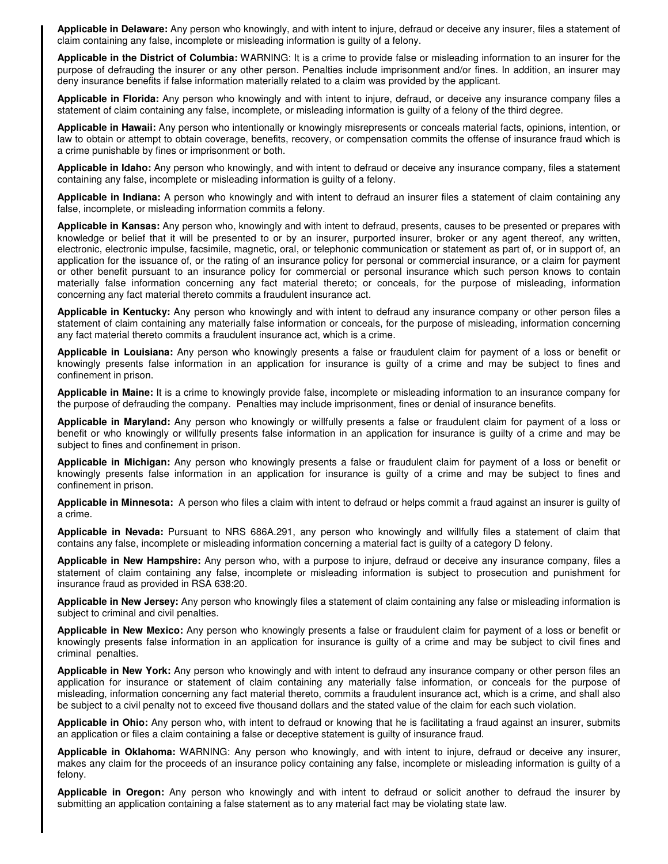**Applicable in Delaware:** Any person who knowingly, and with intent to injure, defraud or deceive any insurer, files a statement of claim containing any false, incomplete or misleading information is guilty of a felony.

**Applicable in the District of Columbia:** WARNING: It is a crime to provide false or misleading information to an insurer for the purpose of defrauding the insurer or any other person. Penalties include imprisonment and/or fines. In addition, an insurer may deny insurance benefits if false information materially related to a claim was provided by the applicant.

**Applicable in Florida:** Any person who knowingly and with intent to injure, defraud, or deceive any insurance company files a statement of claim containing any false, incomplete, or misleading information is guilty of a felony of the third degree.

**Applicable in Hawaii:** Any person who intentionally or knowingly misrepresents or conceals material facts, opinions, intention, or law to obtain or attempt to obtain coverage, benefits, recovery, or compensation commits the offense of insurance fraud which is a crime punishable by fines or imprisonment or both.

**Applicable in Idaho:** Any person who knowingly, and with intent to defraud or deceive any insurance company, files a statement containing any false, incomplete or misleading information is guilty of a felony.

**Applicable in Indiana:** A person who knowingly and with intent to defraud an insurer files a statement of claim containing any false, incomplete, or misleading information commits a felony.

**Applicable in Kansas:** Any person who, knowingly and with intent to defraud, presents, causes to be presented or prepares with knowledge or belief that it will be presented to or by an insurer, purported insurer, broker or any agent thereof, any written, electronic, electronic impulse, facsimile, magnetic, oral, or telephonic communication or statement as part of, or in support of, an application for the issuance of, or the rating of an insurance policy for personal or commercial insurance, or a claim for payment or other benefit pursuant to an insurance policy for commercial or personal insurance which such person knows to contain materially false information concerning any fact material thereto; or conceals, for the purpose of misleading, information concerning any fact material thereto commits a fraudulent insurance act.

**Applicable in Kentucky:** Any person who knowingly and with intent to defraud any insurance company or other person files a statement of claim containing any materially false information or conceals, for the purpose of misleading, information concerning any fact material thereto commits a fraudulent insurance act, which is a crime.

**Applicable in Louisiana:** Any person who knowingly presents a false or fraudulent claim for payment of a loss or benefit or knowingly presents false information in an application for insurance is guilty of a crime and may be subject to fines and confinement in prison.

**Applicable in Maine:** It is a crime to knowingly provide false, incomplete or misleading information to an insurance company for the purpose of defrauding the company. Penalties may include imprisonment, fines or denial of insurance benefits.

**Applicable in Maryland:** Any person who knowingly or willfully presents a false or fraudulent claim for payment of a loss or benefit or who knowingly or willfully presents false information in an application for insurance is guilty of a crime and may be subject to fines and confinement in prison.

**Applicable in Michigan:** Any person who knowingly presents a false or fraudulent claim for payment of a loss or benefit or knowingly presents false information in an application for insurance is guilty of a crime and may be subject to fines and confinement in prison.

**Applicable in Minnesota:** A person who files a claim with intent to defraud or helps commit a fraud against an insurer is guilty of a crime.

**Applicable in Nevada:** Pursuant to NRS 686A.291, any person who knowingly and willfully files a statement of claim that contains any false, incomplete or misleading information concerning a material fact is guilty of a category D felony.

**Applicable in New Hampshire:** Any person who, with a purpose to injure, defraud or deceive any insurance company, files a statement of claim containing any false, incomplete or misleading information is subject to prosecution and punishment for insurance fraud as provided in RSA 638:20.

**Applicable in New Jersey:** Any person who knowingly files a statement of claim containing any false or misleading information is subject to criminal and civil penalties.

**Applicable in New Mexico:** Any person who knowingly presents a false or fraudulent claim for payment of a loss or benefit or knowingly presents false information in an application for insurance is guilty of a crime and may be subject to civil fines and criminal penalties.

**Applicable in New York:** Any person who knowingly and with intent to defraud any insurance company or other person files an application for insurance or statement of claim containing any materially false information, or conceals for the purpose of misleading, information concerning any fact material thereto, commits a fraudulent insurance act, which is a crime, and shall also be subject to a civil penalty not to exceed five thousand dollars and the stated value of the claim for each such violation.

**Applicable in Ohio:** Any person who, with intent to defraud or knowing that he is facilitating a fraud against an insurer, submits an application or files a claim containing a false or deceptive statement is guilty of insurance fraud.

**Applicable in Oklahoma:** WARNING: Any person who knowingly, and with intent to injure, defraud or deceive any insurer, makes any claim for the proceeds of an insurance policy containing any false, incomplete or misleading information is guilty of a felony.

**Applicable in Oregon:** Any person who knowingly and with intent to defraud or solicit another to defraud the insurer by submitting an application containing a false statement as to any material fact may be violating state law.